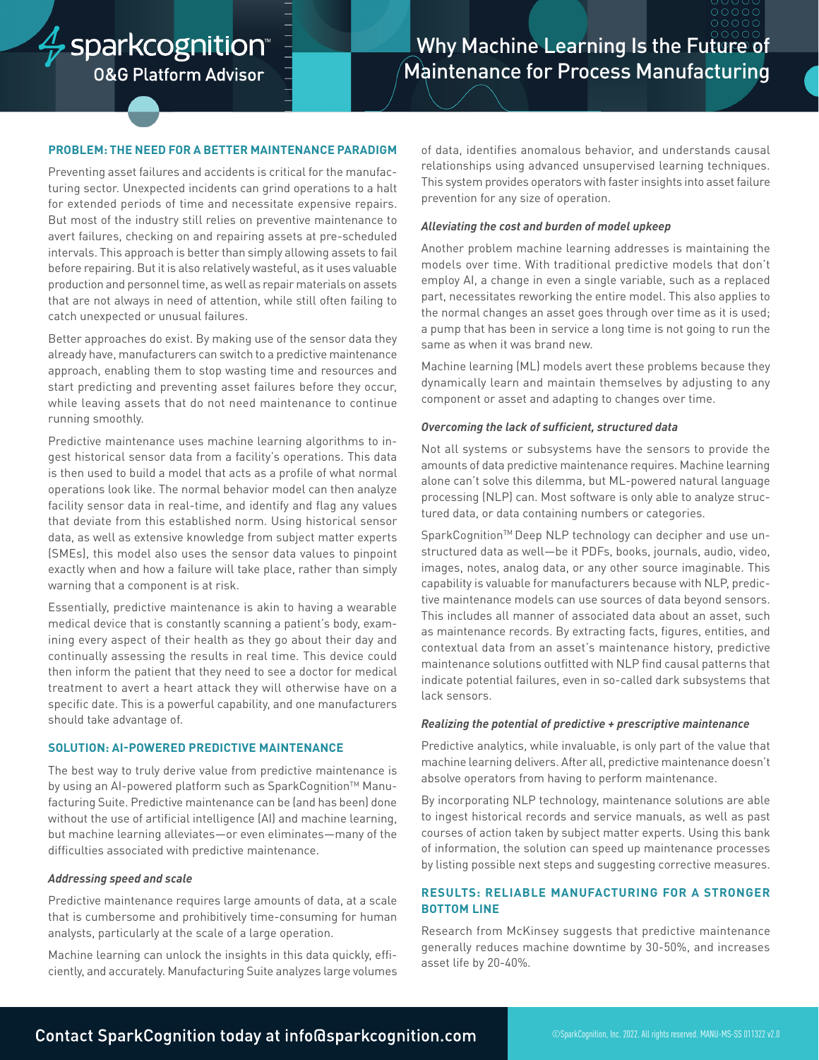## $\frac{A}{V}$ sparkcognition **0&G Platform Advisor**

# **Why Machine Learning Is the Future of** Maintenance for Process Manufacturing

## **PROBLEM: THE NEED FOR A BETTER MAINTENANCE PARADIGM**

Preventing asset failures and accidents is critical for the manufacturing sector. Unexpected incidents can grind operations to a halt for extended periods of time and necessitate expensive repairs. But most of the industry still relies on preventive maintenance to avert failures, checking on and repairing assets at pre-scheduled intervals. This approach is better than simply allowing assets to fail before repairing. But it is also relatively wasteful, as it uses valuable production and personnel time, as well as repair materials on assets that are not always in need of attention, while still often failing to catch unexpected or unusual failures.

Better approaches do exist. By making use of the sensor data they already have, manufacturers can switch to a predictive maintenance approach, enabling them to stop wasting time and resources and start predicting and preventing asset failures before they occur, while leaving assets that do not need maintenance to continue running smoothly.

Predictive maintenance uses machine learning algorithms to ingest historical sensor data from a facility's operations. This data is then used to build a model that acts as a profile of what normal operations look like. The normal behavior model can then analyze facility sensor data in real-time, and identify and flag any values that deviate from this established norm. Using historical sensor data, as well as extensive knowledge from subject matter experts (SMEs), this model also uses the sensor data values to pinpoint exactly when and how a failure will take place, rather than simply warning that a component is at risk.

Essentially, predictive maintenance is akin to having a wearable medical device that is constantly scanning a patient's body, examining every aspect of their health as they go about their day and continually assessing the results in real time. This device could then inform the patient that they need to see a doctor for medical treatment to avert a heart attack they will otherwise have on a specific date. This is a powerful capability, and one manufacturers should take advantage of.

#### **SOLUTION: AI-POWERED PREDICTIVE MAINTENANCE**

The best way to truly derive value from predictive maintenance is by using an Al-powered platform such as SparkCognition™ Manufacturing Suite. Predictive maintenance can be (and has been) done without the use of artificial intelligence (AI) and machine learning, but machine learning alleviates—or even eliminates—many of the difficulties associated with predictive maintenance.

#### *Addressing speed and scale*

Predictive maintenance requires large amounts of data, at a scale that is cumbersome and prohibitively time-consuming for human analysts, particularly at the scale of a large operation.

Machine learning can unlock the insights in this data quickly, efficiently, and accurately. Manufacturing Suite analyzes large volumes of data, identifies anomalous behavior, and understands causal relationships using advanced unsupervised learning techniques. This system provides operators with faster insights into asset failure prevention for any size of operation.

## *Alleviating the cost and burden of model upkeep*

Another problem machine learning addresses is maintaining the models over time. With traditional predictive models that don't employ AI, a change in even a single variable, such as a replaced part, necessitates reworking the entire model. This also applies to the normal changes an asset goes through over time as it is used; a pump that has been in service a long time is not going to run the same as when it was brand new.

Machine learning (ML) models avert these problems because they dynamically learn and maintain themselves by adjusting to any component or asset and adapting to changes over time.

### *Overcoming the lack of sufficient, structured data*

Not all systems or subsystems have the sensors to provide the amounts of data predictive maintenance requires. Machine learning alone can't solve this dilemma, but ML-powered natural language processing (NLP) can. Most software is only able to analyze structured data, or data containing numbers or categories.

SparkCognition™ Deep NLP technology can decipher and use unstructured data as well—be it PDFs, books, journals, audio, video, images, notes, analog data, or any other source imaginable. This capability is valuable for manufacturers because with NLP, predictive maintenance models can use sources of data beyond sensors. This includes all manner of associated data about an asset, such as maintenance records. By extracting facts, figures, entities, and contextual data from an asset's maintenance history, predictive maintenance solutions outfitted with NLP find causal patterns that indicate potential failures, even in so-called dark subsystems that lack sensors.

## *Realizing the potential of predictive + prescriptive maintenance*

Predictive analytics, while invaluable, is only part of the value that machine learning delivers. After all, predictive maintenance doesn't absolve operators from having to perform maintenance.

By incorporating NLP technology, maintenance solutions are able to ingest historical records and service manuals, as well as past courses of action taken by subject matter experts. Using this bank of information, the solution can speed up maintenance processes by listing possible next steps and suggesting corrective measures.

## **RESULTS: RELIABLE MANUFACTURING FOR A STRONGER BOTTOM LINE**

Research from McKinsey suggests that predictive maintenance generally reduces machine downtime by 30-50%, and increases asset life by 20-40%.